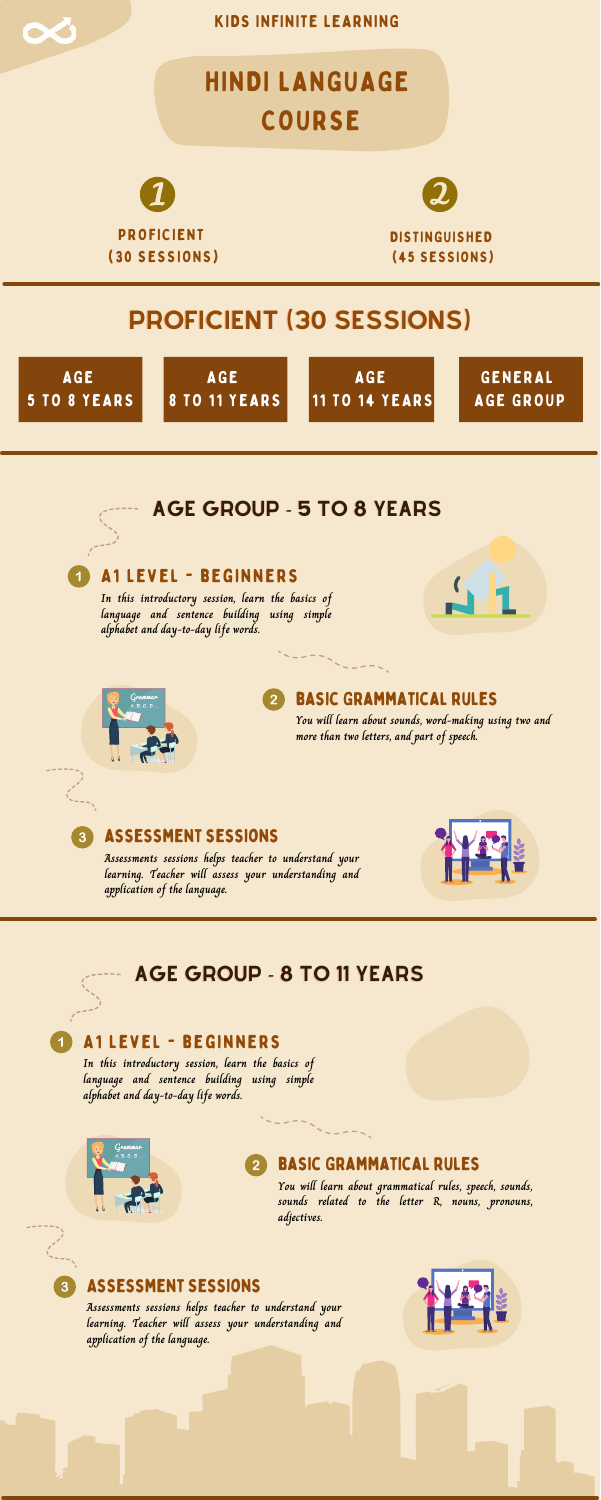### assessment sessions

### A1 Level - beginners

#### basic Grammatical rules  $\overline{2}$

**In this introductory session, learn the basics of language and sentence building using simple alphabet and day-to-day life words.**





 $\mathbf{3}$ 

**You will learn about sounds, word-making using two and more than two letters, and part of speech.**

# HINDI LANGUAGE COURSE



KIDS INFINITE LEARNING

**Assessments sessions helps teacher to understand your learning. Teacher will assess your understanding and application of the language.**







# PROFICIENT (30 SESSIONS)



AGE 8 TO 11 YEARS

AGE 11 TO 14 YEARS

GENERAL AGE GROUP

## AGE GROUP - 5 TO 8 YEARS

### Assessment Sessions

### A1 Level - beginners

**In this introductory session, learn the basics of language and sentence building using simple alphabet and day-to-day life words.**



### basic Grammatical rules

**You will learn about grammatical rules, speech, sounds, sounds related to the letter R, nouns, pronouns, adjectives.**

**Assessments sessions helps teacher to understand your learning. Teacher will assess your understanding and application of the language.**



### AGE GROUP - 8 TO 11 YEARS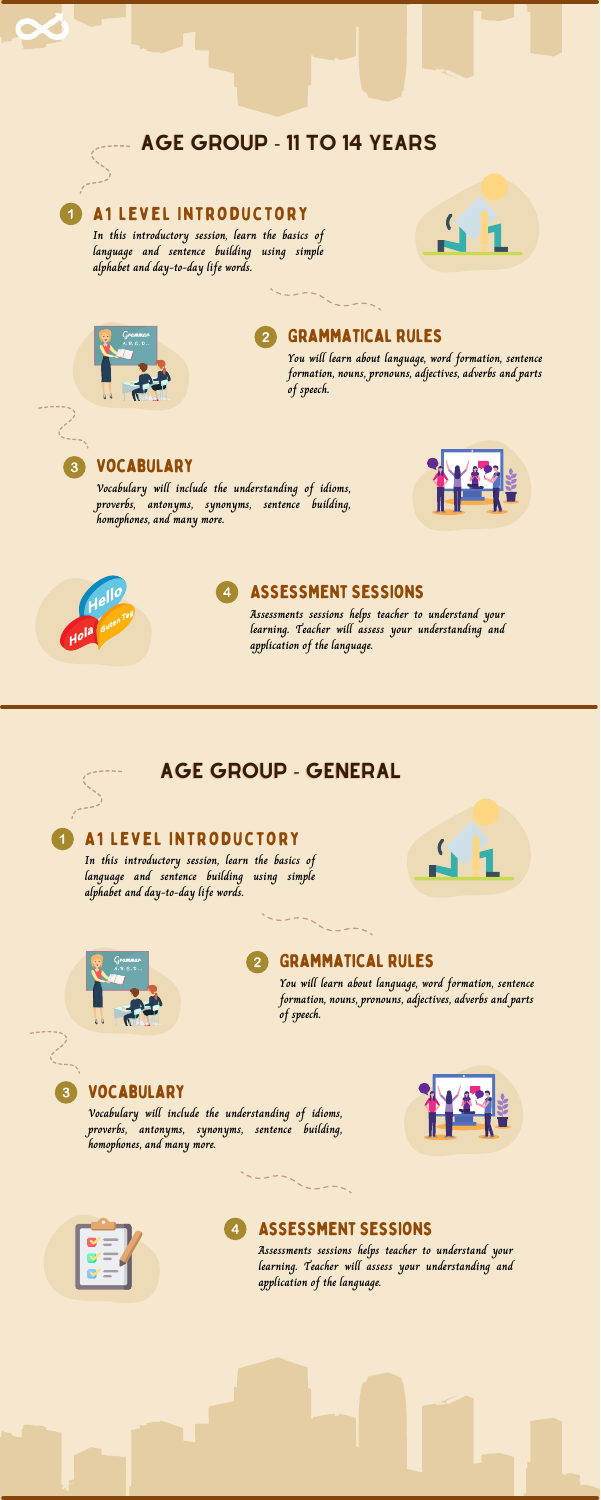### Vocabulary

### A1 Level Introductory

**In this introductory session, learn the basics of language and sentence building using simple alphabet and day-to-day life words.**





### Grammatical rules

**You will learn about language, word formation, sentence formation, nouns, pronouns, adjectives, adverbs and parts of speech.**



**Vocabulary will include the understanding of idioms, proverbs, antonyms, synonyms, sentence building, homophones, and many more.**





### AGE GROUP - 11 TO 14 YEARS

 $\blacktriangleleft$ 

Vocabulary

### A1 Level Introductory

#### Assessment Sessions  $\vert 4 \vert$

**In this introductory session, learn the basics of language and sentence building using simple alphabet and day-to-day life words.**



### Grammatical rules

**You will learn about language, word formation, sentence formation, nouns, pronouns, adjectives, adverbs and parts of speech.**

**Vocabulary will include the understanding of idioms, proverbs, antonyms, synonyms, sentence building, homophones, and many more.**

4



### AGE GROUP - GENERAL

### Assessment Sessions

**Assessments sessions helps teacher to understand your learning. Teacher will assess your understanding and application of the language.**

**Assessments sessions helps teacher to understand your learning. Teacher will assess your understanding and application of the language.**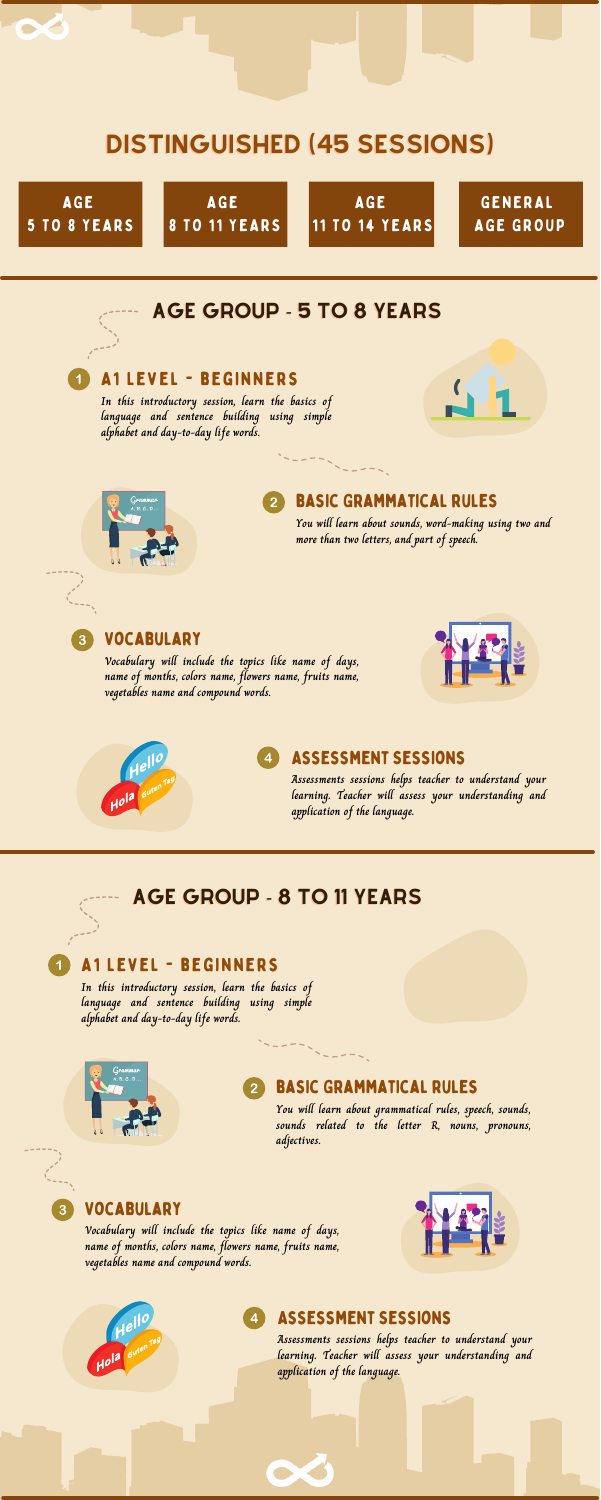### Vocabulary

### A1 Level - beginners

**In this introductory session, learn the basics of language and sentence building using simple alphabet and day-to-day life words.**





### basic Grammatical rules

**You will learn about sounds, word-making using two and more than two letters, and part of speech.**



**Vocabulary will include the topics like name of days, name of months, colors name, flowers name, fruits name, vegetables name and compound words.**





# DISTINGUISHED (45 SESSIONS)



### AGE GROUP - 5 TO 8 YEARS

### Vocabulary

### A1 Level - beginners

**In this introductory session, learn the basics of language and sentence building using simple alphabet and day-to-day life words.**



### basic Grammatical rules

**You will learn about grammatical rules, speech, sounds, sounds related to the letter R, nouns, pronouns, adjectives.**

**Vocabulary will include the topics like name of days, name of months, colors name, flowers name, fruits name, vegetables name and compound words.**







### AGE GROUP - 8 TO 11 YEARS

### Assessment Sessions

**Assessments sessions helps teacher to understand your learning. Teacher will assess your understanding and application of the language.**

### Assessment Sessions

**Assessments sessions helps teacher to understand your learning. Teacher will assess your understanding and application of the language.**